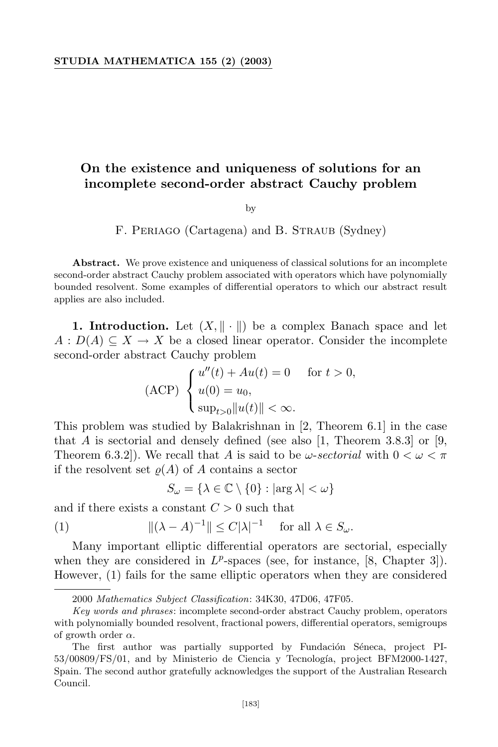## **On the existence and uniqueness of solutions for an incomplete second-order abstract Cauchy problem**

by

F. PERIAGO (Cartagena) and B. STRAUB (Sydney)

**Abstract.** We prove existence and uniqueness of classical solutions for an incomplete second-order abstract Cauchy problem associated with operators which have polynomially bounded resolvent. Some examples of differential operators to which our abstract result applies are also included.

**1. Introduction.** Let  $(X, \|\cdot\|)$  be a complex Banach space and let  $A: D(A) \subseteq X \to X$  be a closed linear operator. Consider the incomplete second-order abstract Cauchy problem

$$
\text{(ACP)} \begin{cases} u''(t) + Au(t) = 0 & \text{for } t > 0, \\ u(0) = u_0, \\ \sup_{t > 0} \|u(t)\| < \infty. \end{cases}
$$

This problem was studied by Balakrishnan in [2, Theorem 6.1] in the case that *A* is sectorial and densely defined (see also  $[1,$  Theorem 3.8.3] or  $[9,$ Theorem 6.3.2]). We recall that *A* is said to be  $\omega$ -*sectorial* with  $0 < \omega < \pi$ if the resolvent set  $\rho(A)$  of A contains a sector

$$
S_{\omega} = \{ \lambda \in \mathbb{C} \setminus \{0\} : |\arg \lambda| < \omega \}
$$

and if there exists a constant  $C > 0$  such that

(1) 
$$
\|(\lambda - A)^{-1}\| \le C|\lambda|^{-1} \quad \text{for all } \lambda \in S_{\omega}.
$$

Many important elliptic differential operators are sectorial, especially when they are considered in  $L^p$ -spaces (see, for instance,  $[8,$  Chapter 3]). However, (1) fails for the same elliptic operators when they are considered

<sup>2000</sup> *Mathematics Subject Classification*: 34K30, 47D06, 47F05.

*Key words and phrases*: incomplete second-order abstract Cauchy problem, operators with polynomially bounded resolvent, fractional powers, differential operators, semigroups of growth order *α*.

The first author was partially supported by Fundación Séneca, project PI- $53/00809/FS/01$ , and by Ministerio de Ciencia y Tecnología, project BFM2000-1427, Spain. The second author gratefully acknowledges the support of the Australian Research Council.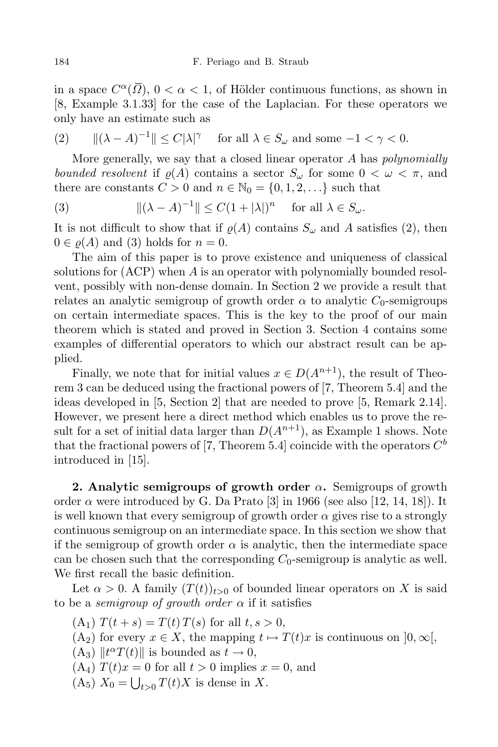in a space  $C^{\alpha}(\overline{\Omega})$ ,  $0 < \alpha < 1$ , of Hölder continuous functions, as shown in [8, Example 3.1.33] for the case of the Laplacian. For these operators we only have an estimate such as

(2) 
$$
\|(\lambda - A)^{-1}\| \le C|\lambda|^{\gamma} \quad \text{for all } \lambda \in S_{\omega} \text{ and some } -1 < \gamma < 0.
$$

More generally, we say that a closed linear operator *A* has *polynomially bounded resolvent* if  $\rho(A)$  contains a sector  $S_\omega$  for some  $0 < \omega < \pi$ , and there are constants  $C > 0$  and  $n \in \mathbb{N}_0 = \{0, 1, 2, \ldots\}$  such that

(3) 
$$
\|(\lambda - A)^{-1}\| \le C(1 + |\lambda|)^n \quad \text{for all } \lambda \in S_\omega.
$$

It is not difficult to show that if  $\varrho(A)$  contains  $S_\omega$  and A satisfies (2), then  $0 \in \varrho(A)$  and (3) holds for  $n = 0$ .

The aim of this paper is to prove existence and uniqueness of classical solutions for (ACP) when *A* is an operator with polynomially bounded resolvent, possibly with non-dense domain. In Section 2 we provide a result that relates an analytic semigroup of growth order  $\alpha$  to analytic  $C_0$ -semigroups on certain intermediate spaces. This is the key to the proof of our main theorem which is stated and proved in Section 3. Section 4 contains some examples of differential operators to which our abstract result can be applied.

Finally, we note that for initial values  $x \in D(A^{n+1})$ , the result of Theorem 3 can be deduced using the fractional powers of [7, Theorem 5.4] and the ideas developed in [5, Section 2] that are needed to prove [5, Remark 2.14]. However, we present here a direct method which enables us to prove the result for a set of initial data larger than  $D(A^{n+1})$ , as Example 1 shows. Note that the fractional powers of [7, Theorem 5.4] coincide with the operators  $C^b$ introduced in [15].

**2. Analytic semigroups of growth order** *α***.** Semigroups of growth order  $\alpha$  were introduced by G. Da Prato [3] in 1966 (see also [12, 14, 18]). It is well known that every semigroup of growth order  $\alpha$  gives rise to a strongly continuous semigroup on an intermediate space. In this section we show that if the semigroup of growth order  $\alpha$  is analytic, then the intermediate space can be chosen such that the corresponding  $C_0$ -semigroup is analytic as well. We first recall the basic definition.

Let  $\alpha > 0$ . A family  $(T(t))_{t>0}$  of bounded linear operators on *X* is said to be a *semigroup* of *growth order*  $\alpha$  if it satisfies

- $(T(f_1) T(t + s) = T(t) T(s)$  for all  $t, s > 0$ ,
- $(A_2)$  for every  $x \in X$ , the mapping  $t \mapsto T(t)x$  is continuous on  $[0, \infty),$
- $(A_3)$   $\|t^{\alpha}T(t)\|$  is bounded as  $t \to 0$ ,
- $(A_4) T(t)x = 0$  for all  $t > 0$  implies  $x = 0$ , and
- $(A_5) X_0 = \bigcup_{t>0} T(t)X$  is dense in *X*.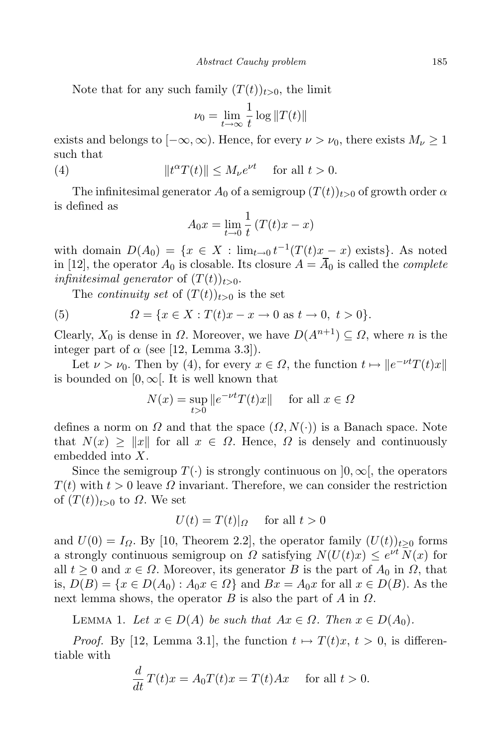Note that for any such family  $(T(t))_{t>0}$ , the limit

$$
\nu_0 = \lim_{t \to \infty} \frac{1}{t} \log ||T(t)||
$$

exists and belongs to  $[-\infty, \infty)$ . Hence, for every  $\nu > \nu_0$ , there exists  $M_{\nu} \geq 1$ such that

(4) 
$$
||t^{\alpha}T(t)|| \leq M_{\nu}e^{\nu t} \quad \text{for all } t > 0.
$$

The infinitesimal generator  $A_0$  of a semigroup  $(T(t))_{t>0}$  of growth order  $\alpha$ is defined as

$$
A_0 x = \lim_{t \to 0} \frac{1}{t} \left( T(t)x - x \right)
$$

with domain  $D(A_0) = \{x \in X : \lim_{t \to 0} t^{-1}(T(t)x - x) \text{ exists}\}.$  As noted in [12], the operator  $A_0$  is closable. Its closure  $A = \overline{A}_0$  is called the *complete infinitesimal generator* of  $(T(t))_{t>0}$ .

The *continuity set* of  $(T(t))_{t>0}$  is the set

(5) 
$$
\Omega = \{x \in X : T(t)x - x \to 0 \text{ as } t \to 0, t > 0\}.
$$

Clearly,  $X_0$  is dense in  $\Omega$ . Moreover, we have  $D(A^{n+1}) \subseteq \Omega$ , where *n* is the integer part of  $\alpha$  (see [12, Lemma 3.3]).

Let  $\nu > \nu_0$ . Then by (4), for every  $x \in \Omega$ , the function  $t \mapsto \|e^{-\nu t}T(t)x\|$ is bounded on  $[0, \infty]$ . It is well known that

$$
N(x) = \sup_{t>0} ||e^{-\nu t} T(t)x|| \quad \text{ for all } x \in \Omega
$$

defines a norm on *Ω* and that the space (*Ω, N*(*·*)) is a Banach space. Note that  $N(x) \ge ||x||$  for all  $x \in \Omega$ . Hence,  $\Omega$  is densely and continuously embedded into *X*.

Since the semigroup  $T(\cdot)$  is strongly continuous on  $[0, \infty)$ , the operators  $T(t)$  with  $t > 0$  leave  $\Omega$  invariant. Therefore, we can consider the restriction of  $(T(t))_{t>0}$  to  $\Omega$ . We set

$$
U(t) = T(t)|_{\Omega} \quad \text{ for all } t > 0
$$

and  $U(0) = I_{\Omega}$ . By [10, Theorem 2.2], the operator family  $(U(t))_{t>0}$  forms a strongly continuous semigroup on *Ω* satisfying  $N(U(t)x) \leq e^{\nu t} N(x)$  for all  $t \geq 0$  and  $x \in \Omega$ . Moreover, its generator *B* is the part of  $A_0$  in  $\Omega$ , that is,  $D(B) = \{x \in D(A_0) : A_0x \in \Omega\}$  and  $Bx = A_0x$  for all  $x \in D(B)$ . As the next lemma shows, the operator *B* is also the part of *A* in *Ω*.

LEMMA 1. Let  $x \in D(A)$  be such that  $Ax \in \Omega$ . Then  $x \in D(A_0)$ .

*Proof.* By [12, Lemma 3.1], the function  $t \mapsto T(t)x$ ,  $t > 0$ , is differentiable with

$$
\frac{d}{dt}T(t)x = A_0T(t)x = T(t)Ax \quad \text{for all } t > 0.
$$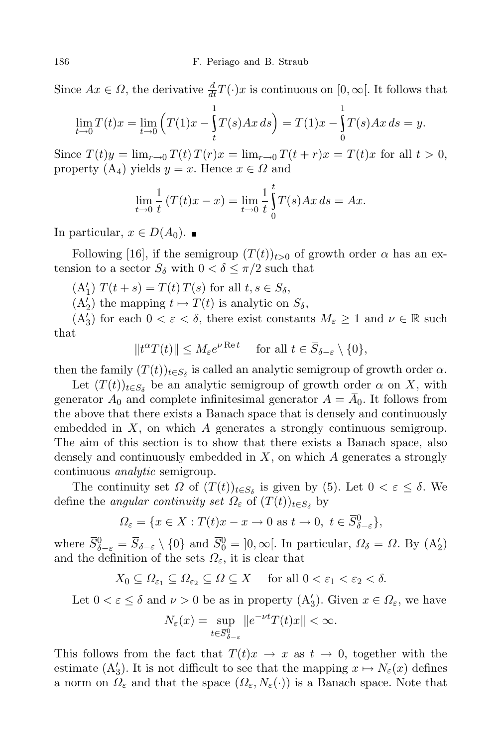Since  $Ax \in \Omega$ , the derivative  $\frac{d}{dt}T(\cdot)x$  is continuous on  $[0, \infty]$ . It follows that

$$
\lim_{t \to 0} T(t)x = \lim_{t \to 0} \left( T(1)x - \int_{t}^{1} T(s)Ax \, ds \right) = T(1)x - \int_{0}^{1} T(s)Ax \, ds = y.
$$

Since  $T(t)y = \lim_{r \to 0} T(t) T(r)x = \lim_{r \to 0} T(t+r)x = T(t)x$  for all  $t > 0$ , property  $(A_4)$  yields  $y = x$ . Hence  $x \in \Omega$  and

$$
\lim_{t \to 0} \frac{1}{t} (T(t)x - x) = \lim_{t \to 0} \frac{1}{t} \int_{0}^{t} T(s)Ax \, ds = Ax.
$$

In particular,  $x \in D(A_0)$ . ■

Following [16], if the semigroup  $(T(t))_{t>0}$  of growth order  $\alpha$  has an extension to a sector  $S_\delta$  with  $0 < \delta \leq \pi/2$  such that

 $T(t + s) = T(t) T(s)$  for all  $t, s \in S_\delta$ ,

 $(A_2)$  the mapping  $t \mapsto T(t)$  is analytic on  $S_\delta$ ,

 $(A'_3)$  for each  $0 < \varepsilon < \delta$ , there exist constants  $M_{\varepsilon} \geq 1$  and  $\nu \in \mathbb{R}$  such that

 $||t^{\alpha}T(t)|| \leq M_{\varepsilon}e^{\nu \operatorname{Re} t}$  for all  $t \in \overline{S}_{\delta-\varepsilon} \setminus \{0\},$ 

then the family  $(T(t))_{t \in S_\delta}$  is called an analytic semigroup of growth order  $\alpha$ .

Let  $(T(t))_{t \in S_{\delta}}$  be an analytic semigroup of growth order  $\alpha$  on *X*, with generator  $A_0$  and complete infinitesimal generator  $A = A_0$ . It follows from the above that there exists a Banach space that is densely and continuously embedded in *X*, on which *A* generates a strongly continuous semigroup. The aim of this section is to show that there exists a Banach space, also densely and continuously embedded in *X*, on which *A* generates a strongly continuous *analytic* semigroup.

The continuity set  $\Omega$  of  $(T(t))_{t \in S_{\delta}}$  is given by (5). Let  $0 < \varepsilon \leq \delta$ . We define the *angular continuity set*  $\Omega_{\varepsilon}$  of  $(T(t))_{t \in S_{\delta}}$  by

$$
\Omega_{\varepsilon} = \{ x \in X : T(t)x - x \to 0 \text{ as } t \to 0, \ t \in \overline{S}_{\delta-\varepsilon}^0 \},
$$

where  $\overline{S}_{\delta-\varepsilon}^0 = \overline{S}_{\delta-\varepsilon} \setminus \{0\}$  and  $\overline{S}_0^0 = ]0, \infty[$ . In particular,  $\Omega_{\delta} = \Omega$ . By  $(A_2)$ and the definition of the sets  $\Omega_{\varepsilon}$ , it is clear that

$$
X_0 \subseteq \Omega_{\varepsilon_1} \subseteq \Omega_{\varepsilon_2} \subseteq \Omega \subseteq X \quad \text{ for all } 0 < \varepsilon_1 < \varepsilon_2 < \delta.
$$

Let  $0 < \varepsilon \leq \delta$  and  $\nu > 0$  be as in property  $(A'_3)$ . Given  $x \in \Omega_{\varepsilon}$ , we have

$$
N_{\varepsilon}(x) = \sup_{t \in \overline{S}_{\delta-\varepsilon}^0} \|e^{-\nu t} T(t)x\| < \infty.
$$

This follows from the fact that  $T(t)x \to x$  as  $t \to 0$ , together with the estimate  $(A'_3)$ . It is not difficult to see that the mapping  $x \mapsto N_{\varepsilon}(x)$  defines a norm on  $\Omega_{\varepsilon}$  and that the space  $(\Omega_{\varepsilon}, N_{\varepsilon}(\cdot))$  is a Banach space. Note that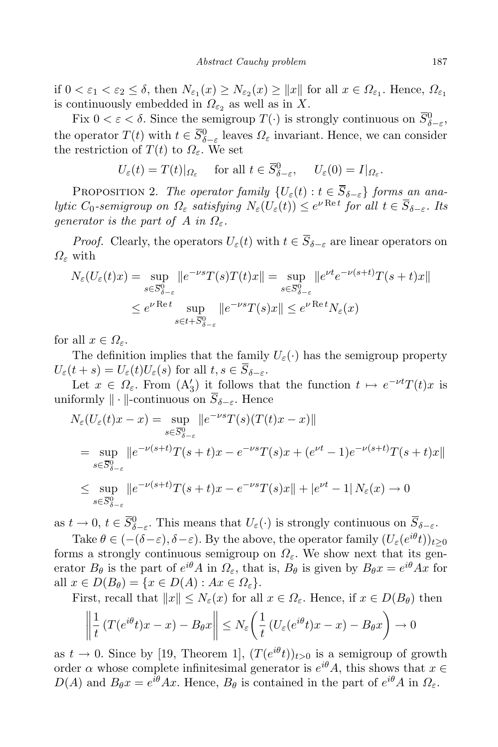if  $0 < \varepsilon_1 < \varepsilon_2 \le \delta$ , then  $N_{\varepsilon_1}(x) \ge N_{\varepsilon_2}(x) \ge ||x||$  for all  $x \in \Omega_{\varepsilon_1}$ . Hence,  $\Omega_{\varepsilon_1}$ is continuously embedded in  $\Omega_{\varepsilon_2}$  as well as in X.

Fix  $0 < \varepsilon < \delta$ . Since the semigroup  $T(\cdot)$  is strongly continuous on  $\overline{S}_{\delta-\varepsilon}^0$ , *δ−ε* the operator  $T(t)$  with  $t \in \overline{S}_{\delta-\varepsilon}^0$  leaves  $\Omega_{\varepsilon}$  invariant. Hence, we can consider the restriction of  $T(t)$  to  $\Omega_{\varepsilon}$ . We set

$$
U_{\varepsilon}(t) = T(t)|_{\Omega_{\varepsilon}}
$$
 for all  $t \in \overline{S}_{\delta-\varepsilon}^0$ ,  $U_{\varepsilon}(0) = I|_{\Omega_{\varepsilon}}$ .

PROPOSITION 2. *The operator family*  $\{U_{\varepsilon}(t): t \in \overline{S}_{\delta-\varepsilon}\}\$  *forms an ana*lytic  $C_0$ -semigroup on  $\Omega_{\varepsilon}$  satisfying  $N_{\varepsilon}(U_{\varepsilon}(t)) \leq e^{\nu \operatorname{Re} t}$  for all  $t \in \overline{S}_{\delta-\varepsilon}$ . Its *generator is the part of A in*  $\Omega_{\varepsilon}$ *.* 

*Proof.* Clearly, the operators  $U_{\varepsilon}(t)$  with  $t \in \overline{S}_{\delta-\varepsilon}$  are linear operators on *Ω<sup>ε</sup>* with

$$
N_{\varepsilon}(U_{\varepsilon}(t)x) = \sup_{s \in \overline{S}_{\delta-\varepsilon}^{0}} \|e^{-\nu s} T(s)T(t)x\| = \sup_{s \in \overline{S}_{\delta-\varepsilon}^{0}} \|e^{\nu t} e^{-\nu(s+t)} T(s+t)x\|
$$
  

$$
\leq e^{\nu \operatorname{Re} t} \sup_{s \in t + \overline{S}_{\delta-\varepsilon}^{0}} \|e^{-\nu s} T(s)x\| \leq e^{\nu \operatorname{Re} t} N_{\varepsilon}(x)
$$

for all  $x \in \Omega_{\varepsilon}$ .

The definition implies that the family  $U_{\varepsilon}(\cdot)$  has the semigroup property  $U_{\varepsilon}(t+s) = U_{\varepsilon}(t)U_{\varepsilon}(s)$  for all  $t, s \in \overline{S}_{\delta-\varepsilon}$ .

Let  $x \in \Omega_{\varepsilon}$ . From  $(A_3')$  it follows that the function  $t \mapsto e^{-\nu t}T(t)x$  is uniformly  $\|\cdot\|$ -continuous on  $\overline{S}_{\delta-\varepsilon}$ . Hence

$$
N_{\varepsilon}(U_{\varepsilon}(t)x - x) = \sup_{s \in \overline{S}_{\delta - \varepsilon}^{0}} ||e^{-\nu s}T(s)(T(t)x - x)||
$$
  
\n
$$
= \sup_{s \in \overline{S}_{\delta - \varepsilon}^{0}} ||e^{-\nu(s+t)}T(s+t)x - e^{-\nu s}T(s)x + (e^{\nu t} - 1)e^{-\nu(s+t)}T(s+t)x||
$$
  
\n
$$
\leq \sup_{s \in \overline{S}_{\delta - \varepsilon}^{0}} ||e^{-\nu(s+t)}T(s+t)x - e^{-\nu s}T(s)x|| + |e^{\nu t} - 1| N_{\varepsilon}(x) \to 0
$$

as  $t \to 0$ ,  $t \in \overline{S}_{\delta-\varepsilon}^0$ . This means that  $U_{\varepsilon}(\cdot)$  is strongly continuous on  $\overline{S}_{\delta-\varepsilon}$ .

Take  $\theta \in (-(\delta - \varepsilon), \delta - \varepsilon)$ . By the above, the operator family  $(U_{\varepsilon}(e^{i\theta}t))_{t \geq 0}$ forms a strongly continuous semigroup on  $\Omega_{\varepsilon}$ . We show next that its generator  $B_{\theta}$  is the part of  $e^{i\theta}A$  in  $\Omega_{\varepsilon}$ , that is,  $B_{\theta}$  is given by  $B_{\theta}x = e^{i\theta}Ax$  for  $\text{all } x \in D(B_\theta) = \{x \in D(A) : Ax \in \Omega_\varepsilon\}.$ 

First, recall that  $||x|| \leq N_{\varepsilon}(x)$  for all  $x \in \Omega_{\varepsilon}$ . Hence, if  $x \in D(B_{\theta})$  then

$$
\left\| \frac{1}{t} \left( T(e^{i\theta} t)x - x \right) - B_{\theta} x \right\| \le N_{\varepsilon} \left( \frac{1}{t} \left( U_{\varepsilon} (e^{i\theta} t)x - x \right) - B_{\theta} x \right) \to 0
$$

as  $t \to 0$ . Since by [19, Theorem 1],  $(T(e^{i\theta}t))_{t>0}$  is a semigroup of growth order *α* whose complete infinitesimal generator is  $e^{i\theta}A$ , this shows that  $x \in$  $D(A)$  and  $B_{\theta}x = e^{i\theta}Ax$ . Hence,  $B_{\theta}$  is contained in the part of  $e^{i\theta}A$  in  $\Omega_{\varepsilon}$ .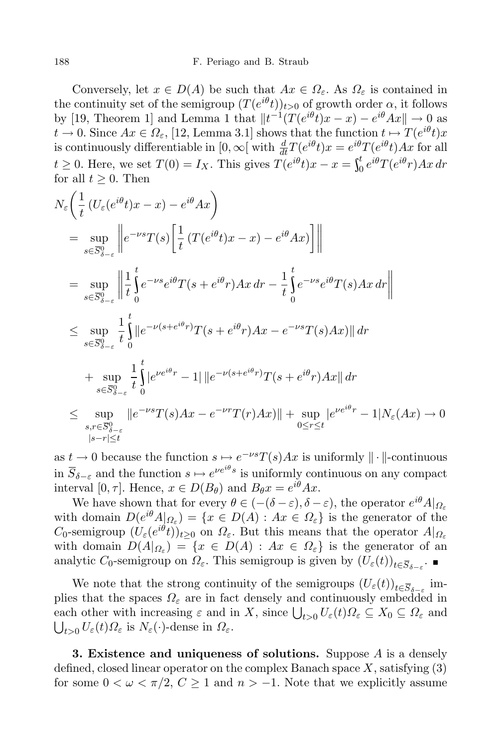Conversely, let  $x \in D(A)$  be such that  $Ax \in \Omega_{\varepsilon}$ . As  $\Omega_{\varepsilon}$  is contained in the continuity set of the semigroup  $(T(e^{i\theta}t))_{t>0}$  of growth order  $\alpha$ , it follows by [19, Theorem 1] and Lemma 1 that  $||t^{-1}(T(e^{i\theta}t)x - x) - e^{i\theta}Ax|| \to 0$  as  $t \to 0$ . Since  $Ax \in \Omega_{\varepsilon}$ , [12, Lemma 3.1] shows that the function  $t \mapsto T(e^{i\theta}t)x$ is continuously differentiable in  $[0, \infty)$  with  $\frac{d}{dt}T(e^{i\theta}t)x = e^{i\theta}T(e^{i\theta}t)Ax$  for all  $t \geq 0$ . Here, we set  $T(0) = I_X$ . This gives  $T(e^{i\theta}t)x - x = \int_0^t e^{i\theta}T$  $\int_0^t e^{i\theta} T(e^{i\theta}r)Ax \,dr$ for all  $t \geq 0$ . Then

$$
N_{\varepsilon} \left( \frac{1}{t} \left( U_{\varepsilon} (e^{i\theta} t) x - x \right) - e^{i\theta} A x \right)
$$
  
\n
$$
= \sup_{s \in \overline{S}_{\delta-\varepsilon}^{0}} \left\| e^{-\nu s} T(s) \left[ \frac{1}{t} \left( T(e^{i\theta} t) x - x \right) - e^{i\theta} A x \right] \right\|
$$
  
\n
$$
= \sup_{s \in \overline{S}_{\delta-\varepsilon}^{0}} \left\| \frac{1}{t} \int_{0}^{t} e^{-\nu s} e^{i\theta} T(s + e^{i\theta} r) A x \, dr - \frac{1}{t} \int_{0}^{t} e^{-\nu s} e^{i\theta} T(s) A x \, dr \right\|
$$
  
\n
$$
\leq \sup_{s \in \overline{S}_{\delta-\varepsilon}^{0}} \frac{1}{t} \int_{0}^{t} \left\| e^{-\nu (s + e^{i\theta} r)} T(s + e^{i\theta} r) A x - e^{-\nu s} T(s) A x \right\| \, dr
$$
  
\n
$$
+ \sup_{s \in \overline{S}_{\delta-\varepsilon}^{0}} \frac{1}{t} \int_{0}^{t} \left\| e^{\nu e^{i\theta} r} - 1 \right\| \left\| e^{-\nu (s + e^{i\theta} r)} T(s + e^{i\theta} r) A x \right\| \, dr
$$
  
\n
$$
\leq \sup_{s, r \in \overline{S}_{\delta-\varepsilon}^{0}} \left\| e^{-\nu s} T(s) A x - e^{-\nu r} T(r) A x \right\| + \sup_{0 \leq r \leq t} \left\| e^{\nu e^{i\theta} r} - 1 \right| N_{\varepsilon} (Ax) \to 0
$$

as  $t \to 0$  because the function  $s \mapsto e^{-\nu s}T(s)Ax$  is uniformly  $\|\cdot\|$ -continuous in  $\overline{S}_{\delta-\varepsilon}$  and the function  $s \mapsto e^{\nu e^{i\theta}s}$  is uniformly continuous on any compact interval  $[0, \tau]$ . Hence,  $x \in D(B_{\theta})$  and  $B_{\theta}x = e^{i\theta}Ax$ .

We have shown that for every  $\theta \in (-(\delta - \varepsilon), \delta - \varepsilon)$ , the operator  $e^{i\theta}A|_{\Omega_{\varepsilon}}$ with domain  $D(e^{i\theta}A|_{\Omega_{\varepsilon}}) = \{x \in D(A) : Ax \in \Omega_{\varepsilon}\}\)$  is the generator of the  $C_0$ -semigroup  $(U_\varepsilon(e^{i\theta}t))_{t\geq0}$  on  $\Omega_\varepsilon$ . But this means that the operator  $A|_{\Omega_\varepsilon}$ with domain  $D(A|_{\Omega_{\varepsilon}}) = \{x \in D(A) : Ax \in \Omega_{\varepsilon}\}\)$  is the generator of an analytic *C*<sub>0</sub>-semigroup on  $\Omega_{\varepsilon}$ . This semigroup is given by  $(U_{\varepsilon}(t))_{t \in \overline{S}_{\delta - \varepsilon}}$ .

We note that the strong continuity of the semigroups  $(U_{\varepsilon}(t))_{t \in \overline{S}_{\delta - \varepsilon}}$  implies that the spaces  $\Omega_{\varepsilon}$  are in fact densely and continuously embedded in each other with increasing  $\varepsilon$  and in *X*, since  $\bigcup_{t>0} U_{\varepsilon}(t) \Omega_{\varepsilon} \subseteq X_0 \subseteq \Omega_{\varepsilon}$  and  $\bigcup_{t>0} U_{\varepsilon}(t) \Omega_{\varepsilon}$  is  $N_{\varepsilon}(\cdot)$ -dense in  $\Omega_{\varepsilon}$ .

**3. Existence and uniqueness of solutions.** Suppose *A* is a densely defined, closed linear operator on the complex Banach space *X*, satisfying (3) for some  $0 < \omega < \pi/2$ ,  $C \ge 1$  and  $n > -1$ . Note that we explicitly assume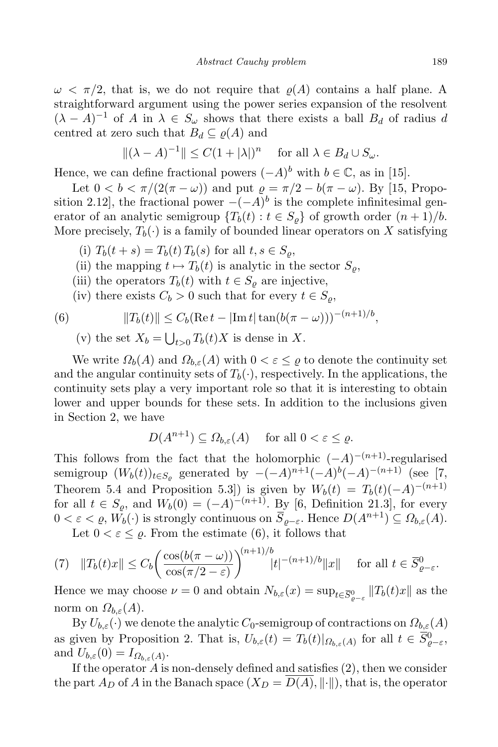$\omega < \pi/2$ , that is, we do not require that  $\rho(A)$  contains a half plane. A straightforward argument using the power series expansion of the resolvent  $(\lambda - A)^{-1}$  of *A* in  $\lambda \in S_\omega$  shows that there exists a ball  $B_d$  of radius *d* centred at zero such that  $B_d \subseteq \rho(A)$  and

$$
\|(\lambda - A)^{-1}\| \le C(1 + |\lambda|)^n \quad \text{for all } \lambda \in B_d \cup S_\omega.
$$

Hence, we can define fractional powers  $(-A)^b$  with  $b \in \mathbb{C}$ , as in [15].

Let  $0 < b < \pi/(2(\pi - \omega))$  and put  $\rho = \pi/2 - b(\pi - \omega)$ . By [15, Proposition 2.12], the fractional power  $-(-A)^b$  is the complete infinitesimal generator of an analytic semigroup  ${T_b(t) : t \in S_\rho}$  of growth order  $(n+1)/b$ . More precisely,  $T_b(\cdot)$  is a family of bounded linear operators on X satisfying

- (i)  $T_b(t + s) = T_b(t) T_b(s)$  for all  $t, s \in S_\rho$ ,
- (ii) the mapping  $t \mapsto T_b(t)$  is analytic in the sector  $S_\rho$ ,
- (iii) the operators  $T_b(t)$  with  $t \in S_\rho$  are injective,
- (iv) there exists  $C_b > 0$  such that for every  $t \in S_o$ ,

(6) 
$$
||T_b(t)|| \le C_b(\text{Re }t - |\text{Im }t| \tan(b(\pi - \omega)))^{-(n+1)/b},
$$

(v) the set  $X_b = \bigcup_{t>0} T_b(t)X$  is dense in X.

We write  $\Omega_b(A)$  and  $\Omega_{b,\varepsilon}(A)$  with  $0 < \varepsilon \leq \varrho$  to denote the continuity set and the angular continuity sets of  $T_b(\cdot)$ , respectively. In the applications, the continuity sets play a very important role so that it is interesting to obtain lower and upper bounds for these sets. In addition to the inclusions given in Section 2, we have

$$
D(A^{n+1}) \subseteq \Omega_{b,\varepsilon}(A) \quad \text{ for all } 0 < \varepsilon \le \varrho.
$$

This follows from the fact that the holomorphic  $(-A)^{-(n+1)}$ -regularised semigroup  $(W_b(t))_{t \in S_g}$  generated by  $-(-A)^{n+1}(-A)^b(-A)^{-(n+1)}$  (see [7, Theorem 5.4 and Proposition 5.3]) is given by  $W_b(t) = T_b(t)(-A)^{-(n+1)}$ for all  $t \in S_{\varrho}$ , and  $W_b(0) = (-A)^{-(n+1)}$ . By [6, Definition 21.3], for every  $0 < \varepsilon < \varrho, W_b(\cdot)$  is strongly continuous on  $\overline{S}_{\varrho-\varepsilon}$ . Hence  $D(A^{n+1}) \subseteq \Omega_{b,\varepsilon}(A)$ .

Let  $0 < \varepsilon \leq \varrho$ . From the estimate (6), it follows that

$$
(7) \quad ||T_b(t)x|| \le C_b \bigg(\frac{\cos(b(\pi - \omega))}{\cos(\pi/2 - \varepsilon)}\bigg)^{(n+1)/b} |t|^{-(n+1)/b} ||x|| \quad \text{ for all } t \in \overline{S}_{\varrho-\varepsilon}^0.
$$

Hence we may choose  $\nu = 0$  and obtain  $N_{b,\varepsilon}(x) = \sup_{t \in \overline{S}_{\varrho-\varepsilon}^0} ||T_b(t)x||$  as the norm on  $\Omega_{b,\varepsilon}(A)$ .

By  $U_{b,\varepsilon}(\cdot)$  we denote the analytic  $C_0$ -semigroup of contractions on  $\Omega_{b,\varepsilon}(A)$ as given by Proposition 2. That is,  $U_{b,\varepsilon}(t) = T_b(t)|_{\Omega_{b,\varepsilon}(A)}$  for all  $t \in \overline{S}_{\varrho-\varepsilon}^0$ , and  $U_{b,\varepsilon}(0) = I_{\Omega_{b,\varepsilon}(A)}$ .

If the operator *A* is non-densely defined and satisfies (2), then we consider the part  $A_D$  of  $A$  in the Banach space  $(X_D = \overline{D(A)}, \|\cdot\|)$ , that is, the operator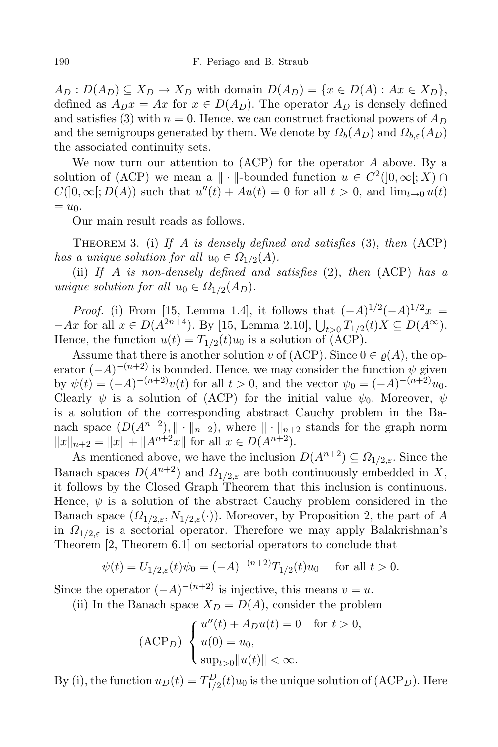$A_D: D(A_D) \subseteq X_D \rightarrow X_D$  with domain  $D(A_D) = \{x \in D(A) : Ax \in X_D\},\$ defined as  $A_D x = Ax$  for  $x \in D(A_D)$ . The operator  $A_D$  is densely defined and satisfies (3) with  $n = 0$ . Hence, we can construct fractional powers of  $A_D$ and the semigroups generated by them. We denote by  $\Omega_b(A_D)$  and  $\Omega_{b\epsilon}(A_D)$ the associated continuity sets.

We now turn our attention to (ACP) for the operator *A* above. By a solution of  $(ACP)$  we mean a  $\| \cdot \|$ -bounded function  $u \in C^2([0,\infty[;X))$  $C([0, \infty); D(A))$  such that  $u''(t) + Au(t) = 0$  for all  $t > 0$ , and  $\lim_{t \to 0} u(t)$  $= u_0$ .

Our main result reads as follows.

Theorem 3. (i) *If A is densely defined and satisfies* (3), *then* (ACP) *has a unique solution for all*  $u_0 \in \Omega_{1/2}(A)$ *.* 

(ii) *If A is non-densely defined and satisfies* (2), *then* (ACP) *has a unique solution for all*  $u_0 \in \Omega_{1/2}(A_D)$ *.* 

*Proof.* (i) From [15, Lemma 1.4], it follows that  $(-A)^{1/2}(-A)^{1/2}x =$  $-Ax$  for all  $x \in D(A^{2n+4})$ . By [15, Lemma 2.10],  $\bigcup_{t>0} T_{1/2}(t)X \subseteq D(A^{\infty})$ . Hence, the function  $u(t) = T_{1/2}(t)u_0$  is a solution of (ACP).

Assume that there is another solution *v* of (ACP). Since  $0 \in \varrho(A)$ , the operator  $(-A)^{-(n+2)}$  is bounded. Hence, we may consider the function  $\psi$  given by  $\psi(t) = (-A)^{-(n+2)}v(t)$  for all  $t > 0$ , and the vector  $\psi_0 = (-A)^{-(n+2)}u_0$ . Clearly  $\psi$  is a solution of (ACP) for the initial value  $\psi_0$ . Moreover,  $\psi$ is a solution of the corresponding abstract Cauchy problem in the Banach space  $(D(A^{n+2}), \| \cdot \|_{n+2})$ , where  $\| \cdot \|_{n+2}$  stands for the graph norm  $||x||_{n+2} = ||x|| + ||A^{n+2}x||$  for all  $x \in D(A^{n+2})$ .

As mentioned above, we have the inclusion  $D(A^{n+2}) \subseteq \Omega_{1/2,\varepsilon}$ . Since the Banach spaces  $D(A^{n+2})$  and  $\Omega_{1/2,\varepsilon}$  are both continuously embedded in *X*, it follows by the Closed Graph Theorem that this inclusion is continuous. Hence,  $\psi$  is a solution of the abstract Cauchy problem considered in the Banach space  $(\Omega_{1/2,\varepsilon}, N_{1/2,\varepsilon}(\cdot))$ . Moreover, by Proposition 2, the part of *A* in  $\Omega_{1/2,\varepsilon}$  is a sectorial operator. Therefore we may apply Balakrishnan's Theorem [2, Theorem 6.1] on sectorial operators to conclude that

$$
\psi(t) = U_{1/2,\varepsilon}(t)\psi_0 = (-A)^{-(n+2)}T_{1/2}(t)u_0 \quad \text{ for all } t > 0.
$$

Since the operator  $(-A)^{-(n+2)}$  is injective, this means  $v = u$ .

(ii) In the Banach space  $X_D = \overline{D(A)}$ , consider the problem

$$
(\text{ACP}_D) \begin{cases} u''(t) + A_D u(t) = 0 & \text{for } t > 0, \\ u(0) = u_0, \\ \sup_{t > 0} \|u(t)\| < \infty. \end{cases}
$$

By (i), the function  $u_D(t) = T_{1/2}^D(t)u_0$  is the unique solution of (ACP<sub>D</sub>). Here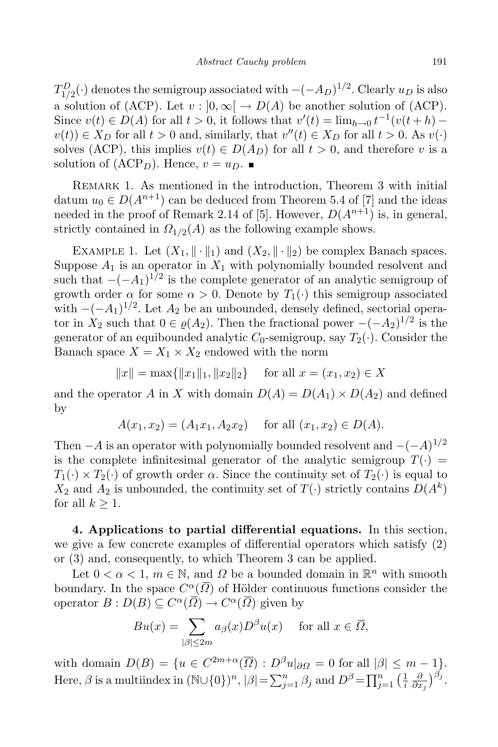*T*<sup>D</sup><sub>1</sub>/<sub>2</sub>(⋅)</sub> denotes the semigroup associated with *−*(*−AD*)<sup>1/2</sup>. Clearly *u<sub>D</sub>* is also a solution of (ACP). Let  $v : [0, \infty) \to D(A)$  be another solution of (ACP). Since  $v(t) \in D(A)$  for all  $t > 0$ , it follows that  $v'(t) = \lim_{h \to 0} t^{-1}(v(t+h)$  $v(t) \in X_D$  for all  $t > 0$  and, similarly, that  $v''(t) \in X_D$  for all  $t > 0$ . As  $v(\cdot)$ solves (ACP), this implies  $v(t) \in D(A_D)$  for all  $t > 0$ , and therefore *v* is a solution of  $(ACP<sub>D</sub>)$ . Hence,  $v = u<sub>D</sub>$ .

REMARK 1. As mentioned in the introduction, Theorem 3 with initial datum  $u_0 \in D(A^{n+1})$  can be deduced from Theorem 5.4 of [7] and the ideas needed in the proof of Remark 2.14 of [5]. However,  $D(A^{n+1})$  is, in general, strictly contained in  $\Omega_{1/2}(A)$  as the following example shows.

EXAMPLE 1. Let  $(X_1, \|\cdot\|_1)$  and  $(X_2, \|\cdot\|_2)$  be complex Banach spaces. Suppose  $A_1$  is an operator in  $X_1$  with polynomially bounded resolvent and such that  $-(-A_1)^{1/2}$  is the complete generator of an analytic semigroup of growth order  $\alpha$  for some  $\alpha > 0$ . Denote by  $T_1(\cdot)$  this semigroup associated with  $-(-A_1)^{1/2}$ . Let  $A_2$  be an unbounded, densely defined, sectorial operator in  $X_2$  such that  $0 \in \varrho(A_2)$ . Then the fractional power  $-(-A_2)^{1/2}$  is the generator of an equibounded analytic  $C_0$ -semigroup, say  $T_2(\cdot)$ . Consider the Banach space  $X = X_1 \times X_2$  endowed with the norm

 $\|x\| = \max\{\|x_1\|_1, \|x_2\|_2\}$  for all  $x = (x_1, x_2) \in X$ 

and the operator *A* in *X* with domain  $D(A) = D(A_1) \times D(A_2)$  and defined by

$$
A(x_1, x_2) = (A_1x_1, A_2x_2)
$$
 for all  $(x_1, x_2) \in D(A)$ .

Then *−A* is an operator with polynomially bounded resolvent and  $-(-A)^{1/2}$ is the complete infinitesimal generator of the analytic semigroup  $T(\cdot)$  =  $T_1(\cdot) \times T_2(\cdot)$  of growth order  $\alpha$ . Since the continuity set of  $T_2(\cdot)$  is equal to  $X_2$  and  $A_2$  is unbounded, the continuity set of  $T(\cdot)$  strictly contains  $D(A^k)$ for all  $k \geq 1$ .

**4. Applications to partial differential equations.** In this section, we give a few concrete examples of differential operators which satisfy (2) or (3) and, consequently, to which Theorem 3 can be applied.

Let  $0 < \alpha < 1$ ,  $m \in \mathbb{N}$ , and  $\Omega$  be a bounded domain in  $\mathbb{R}^n$  with smooth boundary. In the space  $C^{\alpha}(\overline{\Omega})$  of Hölder continuous functions consider the operator  $B: D(B) \subseteq C^{\alpha}(\overline{\Omega}) \longrightarrow C^{\alpha}(\overline{\Omega})$  given by

$$
Bu(x) = \sum_{|\beta| \le 2m} a_{\beta}(x) D^{\beta} u(x) \quad \text{ for all } x \in \overline{\Omega},
$$

with domain  $D(B) = \{u \in C^{2m+\alpha}(\overline{\Omega}) : D^{\beta}u|_{\partial\Omega} = 0 \text{ for all } |\beta| \leq m-1\}.$ Here,  $\beta$  is a multiindex in  $(\mathbb{N}\cup\{0\})^n$ ,  $|\beta| = \sum_{j=1}^n \beta_j$  and  $D^{\beta} = \prod_{j=1}^n \left(\frac{1}{i}\right)$ *i ∂*  $\frac{\partial}{\partial x_j}\big)^{\beta_j}.$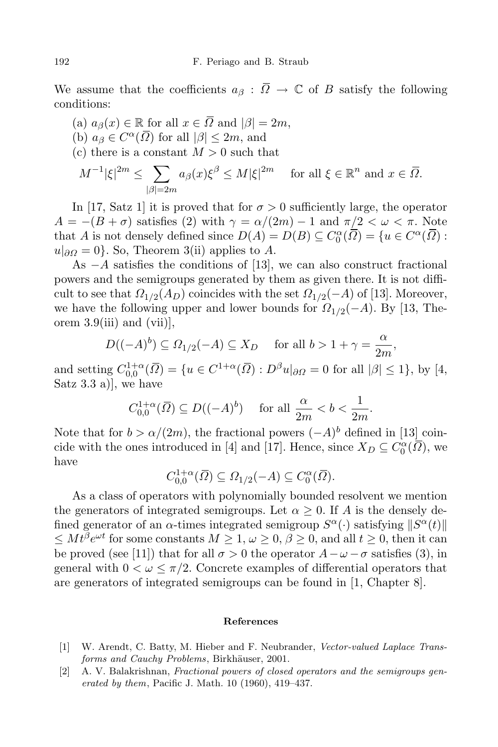We assume that the coefficients  $a_{\beta}$ :  $\overline{Q} \rightarrow \mathbb{C}$  of *B* satisfy the following conditions:

 $(a)$   $a_{\beta}(x) \in \mathbb{R}$  for all  $x \in \overline{\Omega}$  and  $|\beta| = 2m$ ,  $(b)$   $a_{\beta} \in C^{\alpha}(\overline{\Omega})$  for all  $|\beta| \leq 2m$ , and (c) there is a constant  $M > 0$  such that

$$
M^{-1}|\xi|^{2m} \le \sum_{|\beta|=2m} a_{\beta}(x)\xi^{\beta} \le M|\xi|^{2m} \quad \text{ for all } \xi \in \mathbb{R}^n \text{ and } x \in \overline{\Omega}.
$$

In [17, Satz 1] it is proved that for  $\sigma > 0$  sufficiently large, the operator  $A = -(B + \sigma)$  satisfies (2) with  $\gamma = \alpha/(2m) - 1$  and  $\pi/2 < \omega < \pi$ . Note that *A* is not densely defined since  $D(A) = D(B) \subseteq C_0^{\alpha}(\overline{\Omega}) = \{u \in C^{\alpha}(\overline{\Omega}) :$  $u|_{\partial\Omega} = 0$ }*.* So, Theorem 3(ii) applies to *A*.

As *−A* satisfies the conditions of [13], we can also construct fractional powers and the semigroups generated by them as given there. It is not difficult to see that  $\Omega_{1/2}(A_D)$  coincides with the set  $\Omega_{1/2}(-A)$  of [13]. Moreover, we have the following upper and lower bounds for  $\Omega_{1/2}(-A)$ . By [13, Theorem  $3.9(iii)$  and  $(vii)$ ,

$$
D((-A)^b) \subseteq \Omega_{1/2}(-A) \subseteq X_D \quad \text{ for all } b > 1 + \gamma = \frac{\alpha}{2m},
$$

and setting  $C_{0,0}^{1+\alpha}(\overline{\Omega}) = \{u \in C^{1+\alpha}(\overline{\Omega}) : D^{\beta}u|_{\partial\Omega} = 0 \text{ for all } |\beta| \leq 1\}$ , by [4, Satz 3.3 a)], we have

$$
C_{0,0}^{1+\alpha}(\overline{\Omega}) \subseteq D((-A)^b)
$$
 for all  $\frac{\alpha}{2m} < b < \frac{1}{2m}$ .

Note that for  $b > \alpha/(2m)$ , the fractional powers  $(-A)^b$  defined in [13] coincide with the ones introduced in [4] and [17]. Hence, since  $X_D \subseteq C_0^{\alpha}(\overline{D})$ , we have

$$
C_{0,0}^{1+\alpha}(\overline{\Omega}) \subseteq \Omega_{1/2}(-A) \subseteq C_0^{\alpha}(\overline{\Omega}).
$$

As a class of operators with polynomially bounded resolvent we mention the generators of integrated semigroups. Let  $\alpha \geq 0$ . If *A* is the densely defined generator of an *α*-times integrated semigroup  $S^{\alpha}(\cdot)$  satisfying  $||S^{\alpha}(t)||$  $≤$  *Mt*<sup>β</sup>*e*<sup>*ωt*</sup> for some constants *M* ≥ 1, *ω* ≥ 0, *β* ≥ 0, and all *t* ≥ 0, then it can be proved (see [11]) that for all  $\sigma > 0$  the operator  $A - \omega - \sigma$  satisfies (3), in general with  $0 < \omega < \pi/2$ . Concrete examples of differential operators that are generators of integrated semigroups can be found in [1, Chapter 8].

## **References**

- [1] W. Arendt, C. Batty, M. Hieber and F. Neubrander, *Vector-valued Laplace Transforms* and *Cauchy Problems*, Birkhäuser, 2001.
- [2] A. V. Balakrishnan, *Fractional powers of closed operators and the semigroups generated by them*, Pacific J. Math. 10 (1960), 419–437.